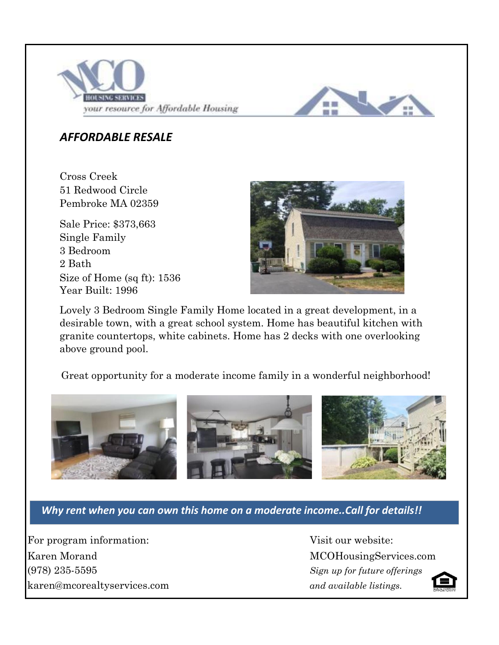



## *AFFORDABLE RESALE*

51 Redwood Circle Pembroke MA 02359 Cross Creek

Single Family Size of Home (sq ft): 1536 Year Built: 1996 3 Bedroom 2 Bath Sale Price: \$373,663



Lovely 3 Bedroom Single Family Home located in a great development, in a desirable town, with a great school system. Home has beautiful kitchen with granite countertops, white cabinets. Home has 2 decks with one overlooking above ground pool.

Great opportunity for a moderate income family in a wonderful neighborhood!



*Why rent when you can own this home on a moderate income..Call for details!!*

For program information: Visit our website: Karen Morand MCOHousingServices.com karen@mcorealtyservices.com *and available listings.* (978) 235-5595

*Sign up for future offerings*